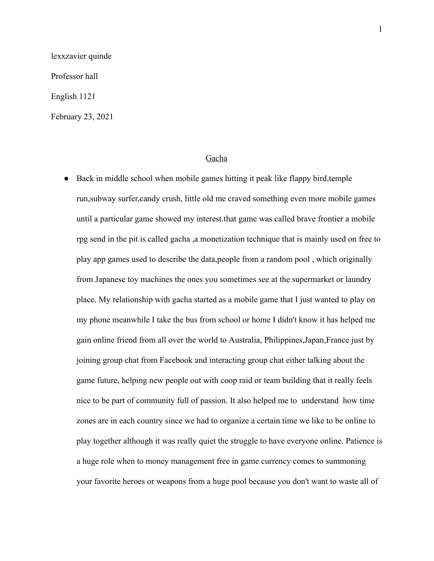lexxzavier quinde

Professor hall

English 1121

February 23, 2021

## Gacha

● Back in middle school when mobile games hitting it peak like flappy bird,temple run,subway surfer,candy crush, little old me craved something even more mobile games until a particular game showed my interest.that game was called brave frontier a mobile rpg send in the pit is called gacha ,a monetization technique that is mainly used on free to play app games used to describe the data,people from a random pool , which originally from Japanese toy machines the ones you sometimes see at the supermarket or laundry place. My relationship with gacha started as a mobile game that I just wanted to play on my phone meanwhile I take the bus from school or home I didn't know it has helped me gain online friend from all over the world to Australia, Philippines,Japan,France just by joining group chat from Facebook and interacting group chat either talking about the game future, helping new people out with coop raid or team building that it really feels nice to be part of community full of passion. It also helped me to understand how time zones are in each country since we had to organize a certain time we like to be online to play together although it was really quiet the struggle to have everyone online. Patience is a huge role when to money management free in game currency comes to summoning your favorite heroes or weapons from a huge pool because you don't want to waste all of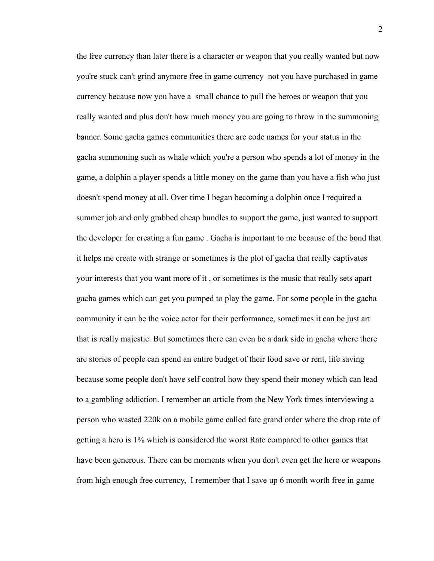the free currency than later there is a character or weapon that you really wanted but now you're stuck can't grind anymore free in game currency not you have purchased in game currency because now you have a small chance to pull the heroes or weapon that you really wanted and plus don't how much money you are going to throw in the summoning banner. Some gacha games communities there are code names for your status in the gacha summoning such as whale which you're a person who spends a lot of money in the game, a dolphin a player spends a little money on the game than you have a fish who just doesn't spend money at all. Over time I began becoming a dolphin once I required a summer job and only grabbed cheap bundles to support the game, just wanted to support the developer for creating a fun game . Gacha is important to me because of the bond that it helps me create with strange or sometimes is the plot of gacha that really captivates your interests that you want more of it , or sometimes is the music that really sets apart gacha games which can get you pumped to play the game. For some people in the gacha community it can be the voice actor for their performance, sometimes it can be just art that is really majestic. But sometimes there can even be a dark side in gacha where there are stories of people can spend an entire budget of their food save or rent, life saving because some people don't have self control how they spend their money which can lead to a gambling addiction. I remember an article from the New York times interviewing a person who wasted 220k on a mobile game called fate grand order where the drop rate of getting a hero is 1% which is considered the worst Rate compared to other games that have been generous. There can be moments when you don't even get the hero or weapons from high enough free currency, I remember that I save up 6 month worth free in game